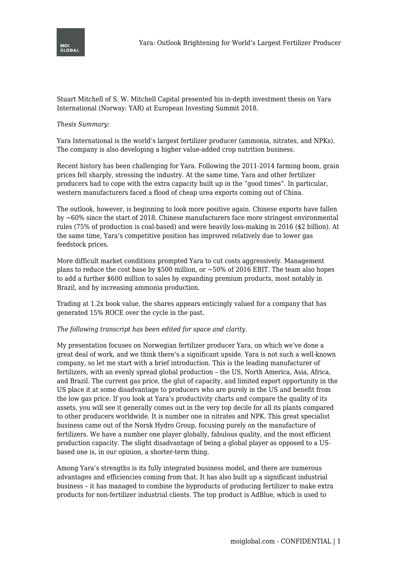

Stuart Mitchell of S. W. Mitchell Capital presented his in-depth investment thesis on Yara International (Norway: YAR) at European Investing Summit 2018.

## *Thesis Summary:*

Yara International is the world's largest fertilizer producer (ammonia, nitrates, and NPKs). The company is also developing a higher value-added crop nutrition business.

Recent history has been challenging for Yara. Following the 2011-2014 farming boom, grain prices fell sharply, stressing the industry. At the same time, Yara and other fertilizer producers had to cope with the extra capacity built up in the "good times". In particular, western manufacturers faced a flood of cheap urea exports coming out of China.

The outlook, however, is beginning to look more positive again. Chinese exports have fallen by ~60% since the start of 2018. Chinese manufacturers face more stringent environmental rules (75% of production is coal-based) and were heavily loss-making in 2016 (\$2 billion). At the same time, Yara's competitive position has improved relatively due to lower gas feedstock prices.

More difficult market conditions prompted Yara to cut costs aggressively. Management plans to reduce the cost base by  $$500$  million, or  $~50\%$  of 2016 EBIT. The team also hopes to add a further \$600 million to sales by expanding premium products, most notably in Brazil, and by increasing ammonia production.

Trading at 1.2x book value, the shares appears enticingly valued for a company that has generated 15% ROCE over the cycle in the past.

## *The following transcript has been edited for space and clarity.*

My presentation focuses on Norwegian fertilizer producer Yara, on which we've done a great deal of work, and we think there's a significant upside. Yara is not such a well-known company, so let me start with a brief introduction. This is the leading manufacturer of fertilizers, with an evenly spread global production – the US, North America, Asia, Africa, and Brazil. The current gas price, the glut of capacity, and limited export opportunity in the US place it at some disadvantage to producers who are purely in the US and benefit from the low gas price. If you look at Yara's productivity charts and compare the quality of its assets, you will see it generally comes out in the very top decile for all its plants compared to other producers worldwide. It is number one in nitrates and NPK. This great specialist business came out of the Norsk Hydro Group, focusing purely on the manufacture of fertilizers. We have a number one player globally, fabulous quality, and the most efficient production capacity. The slight disadvantage of being a global player as opposed to a USbased one is, in our opinion, a shorter-term thing.

Among Yara's strengths is its fully integrated business model, and there are numerous advantages and efficiencies coming from that. It has also built up a significant industrial business – it has managed to combine the byproducts of producing fertilizer to make extra products for non-fertilizer industrial clients. The top product is AdBlue, which is used to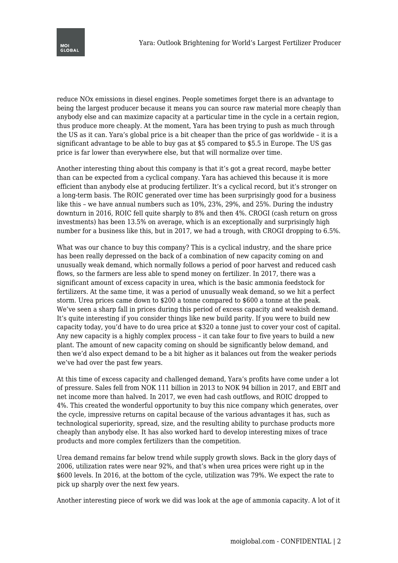

reduce NOx emissions in diesel engines. People sometimes forget there is an advantage to being the largest producer because it means you can source raw material more cheaply than anybody else and can maximize capacity at a particular time in the cycle in a certain region, thus produce more cheaply. At the moment, Yara has been trying to push as much through the US as it can. Yara's global price is a bit cheaper than the price of gas worldwide – it is a significant advantage to be able to buy gas at \$5 compared to \$5.5 in Europe. The US gas price is far lower than everywhere else, but that will normalize over time.

Another interesting thing about this company is that it's got a great record, maybe better than can be expected from a cyclical company. Yara has achieved this because it is more efficient than anybody else at producing fertilizer. It's a cyclical record, but it's stronger on a long-term basis. The ROIC generated over time has been surprisingly good for a business like this – we have annual numbers such as 10%, 23%, 29%, and 25%. During the industry downturn in 2016, ROIC fell quite sharply to 8% and then 4%. CROGI (cash return on gross investments) has been 13.5% on average, which is an exceptionally and surprisingly high number for a business like this, but in 2017, we had a trough, with CROGI dropping to 6.5%.

What was our chance to buy this company? This is a cyclical industry, and the share price has been really depressed on the back of a combination of new capacity coming on and unusually weak demand, which normally follows a period of poor harvest and reduced cash flows, so the farmers are less able to spend money on fertilizer. In 2017, there was a significant amount of excess capacity in urea, which is the basic ammonia feedstock for fertilizers. At the same time, it was a period of unusually weak demand, so we hit a perfect storm. Urea prices came down to \$200 a tonne compared to \$600 a tonne at the peak. We've seen a sharp fall in prices during this period of excess capacity and weakish demand. It's quite interesting if you consider things like new build parity. If you were to build new capacity today, you'd have to do urea price at \$320 a tonne just to cover your cost of capital. Any new capacity is a highly complex process – it can take four to five years to build a new plant. The amount of new capacity coming on should be significantly below demand, and then we'd also expect demand to be a bit higher as it balances out from the weaker periods we've had over the past few years.

At this time of excess capacity and challenged demand, Yara's profits have come under a lot of pressure. Sales fell from NOK 111 billion in 2013 to NOK 94 billion in 2017, and EBIT and net income more than halved. In 2017, we even had cash outflows, and ROIC dropped to 4%. This created the wonderful opportunity to buy this nice company which generates, over the cycle, impressive returns on capital because of the various advantages it has, such as technological superiority, spread, size, and the resulting ability to purchase products more cheaply than anybody else. It has also worked hard to develop interesting mixes of trace products and more complex fertilizers than the competition.

Urea demand remains far below trend while supply growth slows. Back in the glory days of 2006, utilization rates were near 92%, and that's when urea prices were right up in the \$600 levels. In 2016, at the bottom of the cycle, utilization was 79%. We expect the rate to pick up sharply over the next few years.

Another interesting piece of work we did was look at the age of ammonia capacity. A lot of it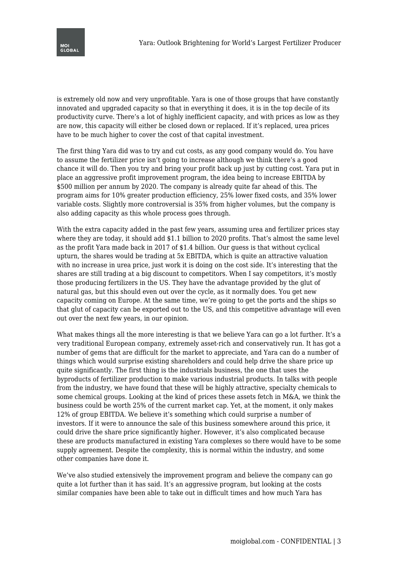

is extremely old now and very unprofitable. Yara is one of those groups that have constantly innovated and upgraded capacity so that in everything it does, it is in the top decile of its productivity curve. There's a lot of highly inefficient capacity, and with prices as low as they are now, this capacity will either be closed down or replaced. If it's replaced, urea prices have to be much higher to cover the cost of that capital investment.

The first thing Yara did was to try and cut costs, as any good company would do. You have to assume the fertilizer price isn't going to increase although we think there's a good chance it will do. Then you try and bring your profit back up just by cutting cost. Yara put in place an aggressive profit improvement program, the idea being to increase EBITDA by \$500 million per annum by 2020. The company is already quite far ahead of this. The program aims for 10% greater production efficiency, 25% lower fixed costs, and 35% lower variable costs. Slightly more controversial is 35% from higher volumes, but the company is also adding capacity as this whole process goes through.

With the extra capacity added in the past few years, assuming urea and fertilizer prices stay where they are today, it should add \$1.1 billion to 2020 profits. That's almost the same level as the profit Yara made back in 2017 of \$1.4 billion. Our guess is that without cyclical upturn, the shares would be trading at 5x EBITDA, which is quite an attractive valuation with no increase in urea price, just work it is doing on the cost side. It's interesting that the shares are still trading at a big discount to competitors. When I say competitors, it's mostly those producing fertilizers in the US. They have the advantage provided by the glut of natural gas, but this should even out over the cycle, as it normally does. You get new capacity coming on Europe. At the same time, we're going to get the ports and the ships so that glut of capacity can be exported out to the US, and this competitive advantage will even out over the next few years, in our opinion.

What makes things all the more interesting is that we believe Yara can go a lot further. It's a very traditional European company, extremely asset-rich and conservatively run. It has got a number of gems that are difficult for the market to appreciate, and Yara can do a number of things which would surprise existing shareholders and could help drive the share price up quite significantly. The first thing is the industrials business, the one that uses the byproducts of fertilizer production to make various industrial products. In talks with people from the industry, we have found that these will be highly attractive, specialty chemicals to some chemical groups. Looking at the kind of prices these assets fetch in M&A, we think the business could be worth 25% of the current market cap. Yet, at the moment, it only makes 12% of group EBITDA. We believe it's something which could surprise a number of investors. If it were to announce the sale of this business somewhere around this price, it could drive the share price significantly higher. However, it's also complicated because these are products manufactured in existing Yara complexes so there would have to be some supply agreement. Despite the complexity, this is normal within the industry, and some other companies have done it.

We've also studied extensively the improvement program and believe the company can go quite a lot further than it has said. It's an aggressive program, but looking at the costs similar companies have been able to take out in difficult times and how much Yara has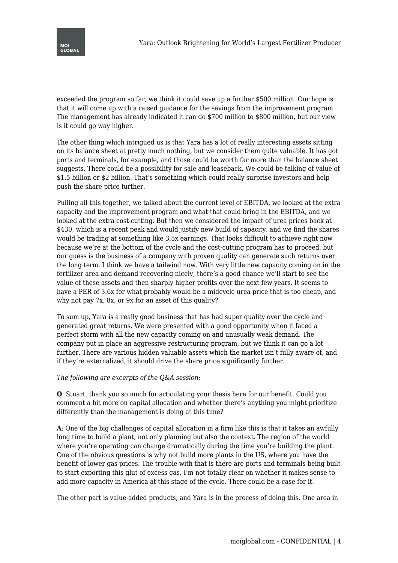

exceeded the program so far, we think it could save up a further \$500 million. Our hope is that it will come up with a raised guidance for the savings from the improvement program. The management has already indicated it can do \$700 million to \$800 million, but our view is it could go way higher.

The other thing which intrigued us is that Yara has a lot of really interesting assets sitting on its balance sheet at pretty much nothing, but we consider them quite valuable. It has got ports and terminals, for example, and those could be worth far more than the balance sheet suggests. There could be a possibility for sale and leaseback. We could be talking of value of \$1.5 billion or \$2 billion. That's something which could really surprise investors and help push the share price further.

Pulling all this together, we talked about the current level of EBITDA, we looked at the extra capacity and the improvement program and what that could bring in the EBITDA, and we looked at the extra cost-cutting. But then we considered the impact of urea prices back at \$430, which is a recent peak and would justify new build of capacity, and we find the shares would be trading at something like 3.5x earnings. That looks difficult to achieve right now because we're at the bottom of the cycle and the cost-cutting program has to proceed, but our guess is the business of a company with proven quality can generate such returns over the long term. I think we have a tailwind now. With very little new capacity coming on in the fertilizer area and demand recovering nicely, there's a good chance we'll start to see the value of these assets and then sharply higher profits over the next few years. It seems to have a PER of 3.6x for what probably would be a midcycle urea price that is too cheap, and why not pay 7x, 8x, or 9x for an asset of this quality?

To sum up, Yara is a really good business that has had super quality over the cycle and generated great returns. We were presented with a good opportunity when it faced a perfect storm with all the new capacity coming on and unusually weak demand. The company put in place an aggressive restructuring program, but we think it can go a lot further. There are various hidden valuable assets which the market isn't fully aware of, and if they're externalized, it should drive the share price significantly further.

## *The following are excerpts of the Q&A session:*

**Q**: Stuart, thank you so much for articulating your thesis here for our benefit. Could you comment a bit more on capital allocation and whether there's anything you might prioritize differently than the management is doing at this time?

**A**: One of the big challenges of capital allocation in a firm like this is that it takes an awfully long time to build a plant, not only planning but also the context. The region of the world where you're operating can change dramatically during the time you're building the plant. One of the obvious questions is why not build more plants in the US, where you have the benefit of lower gas prices. The trouble with that is there are ports and terminals being built to start exporting this glut of excess gas. I'm not totally clear on whether it makes sense to add more capacity in America at this stage of the cycle. There could be a case for it.

The other part is value-added products, and Yara is in the process of doing this. One area in